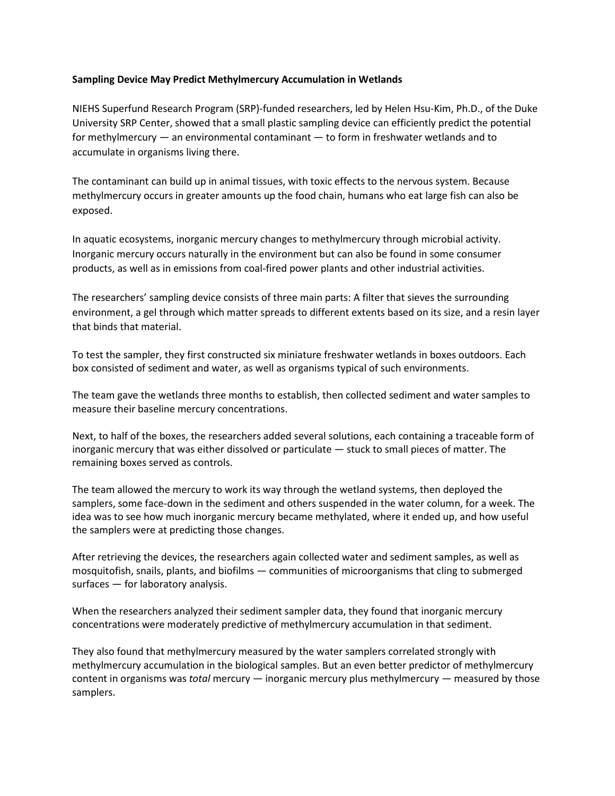## **Sampling Device May Predict Methylmercury Accumulation in Wetlands**

 NIEHS Superfund Research Program (SRP)-funded researchers, led by Helen Hsu-Kim, Ph.D., of the Duke University SRP Center, showed that a small plastic sampling device can efficiently predict the potential for methylmercury — an environmental contaminant — to form in freshwater wetlands and to accumulate in organisms living there.

 The contaminant can build up in animal tissues, with toxic effects to the nervous system. Because methylmercury occurs in greater amounts up the food chain, humans who eat large fish can also be exposed.

 In aquatic ecosystems, inorganic mercury changes to methylmercury through microbial activity. Inorganic mercury occurs naturally in the environment but can also be found in some consumer products, as well as in emissions from coal-fired power plants and other industrial activities.

 The researchers' sampling device consists of three main parts: A filter that sieves the surrounding that binds that material. environment, a gel through which matter spreads to different extents based on its size, and a resin layer

 To test the sampler, they first constructed six miniature freshwater wetlands in boxes outdoors. Each box consisted of sediment and water, as well as organisms typical of such environments.

 The team gave the wetlands three months to establish, then collected sediment and water samples to measure their baseline mercury concentrations.

 Next, to half of the boxes, the researchers added several solutions, each containing a traceable form of inorganic mercury that was either dissolved or particulate — stuck to small pieces of matter. The remaining boxes served as controls.

The team allowed the mercury to work its way through the wetland systems, then deployed the samplers, some face-down in the sediment and others suspended in the water column, for a week. The idea was to see how much inorganic mercury became methylated, where it ended up, and how useful the samplers were at predicting those changes.

 After retrieving the devices, the researchers again collected water and sediment samples, as well as surfaces — for laboratory analysis. mosquitofish, snails, plants, and biofilms — communities of microorganisms that cling to submerged

 concentrations were moderately predictive of methylmercury accumulation in that sediment. When the researchers analyzed their sediment sampler data, they found that inorganic mercury

 They also found that methylmercury measured by the water samplers correlated strongly with methylmercury accumulation in the biological samples. But an even better predictor of methylmercury content in organisms was *total* mercury — inorganic mercury plus methylmercury — measured by those samplers.